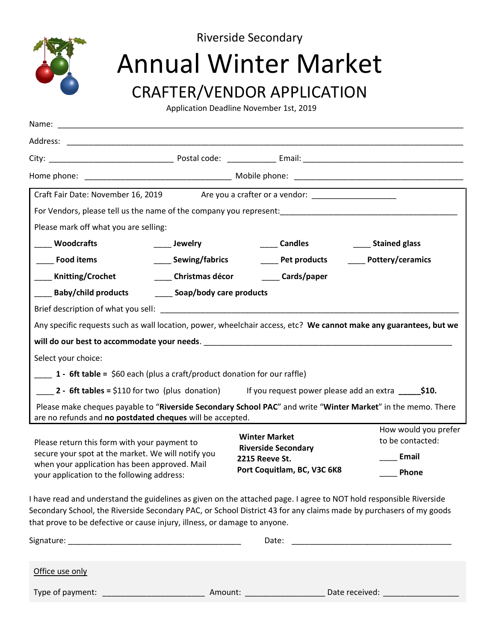

Riverside Secondary

# Annual Winter Market

### CRAFTER/VENDOR APPLICATION

Application Deadline November 1st, 2019

| Name:                                                                                                                                                                                             |                                                       |                                                                                                                                                                                                                                          |                                          |
|---------------------------------------------------------------------------------------------------------------------------------------------------------------------------------------------------|-------------------------------------------------------|------------------------------------------------------------------------------------------------------------------------------------------------------------------------------------------------------------------------------------------|------------------------------------------|
|                                                                                                                                                                                                   |                                                       |                                                                                                                                                                                                                                          |                                          |
|                                                                                                                                                                                                   |                                                       |                                                                                                                                                                                                                                          |                                          |
|                                                                                                                                                                                                   |                                                       |                                                                                                                                                                                                                                          |                                          |
|                                                                                                                                                                                                   |                                                       | Craft Fair Date: November 16, 2019 Are you a crafter or a vendor: _______________                                                                                                                                                        |                                          |
|                                                                                                                                                                                                   |                                                       |                                                                                                                                                                                                                                          |                                          |
| Please mark off what you are selling:                                                                                                                                                             |                                                       |                                                                                                                                                                                                                                          |                                          |
| <b>Woodcrafts</b>                                                                                                                                                                                 | <b>Example 15</b>                                     | <b>Candles</b>                                                                                                                                                                                                                           | Stained glass                            |
| ____ Food items                                                                                                                                                                                   | ____ Sewing/fabrics                                   | <b>Example 1</b> Pet products                                                                                                                                                                                                            | _____ Pottery/ceramics                   |
| <b>Knitting/Crochet</b>                                                                                                                                                                           | Christmas décor                                       | Cards/paper                                                                                                                                                                                                                              |                                          |
|                                                                                                                                                                                                   | Baby/child products _________ Soap/body care products |                                                                                                                                                                                                                                          |                                          |
|                                                                                                                                                                                                   |                                                       |                                                                                                                                                                                                                                          |                                          |
|                                                                                                                                                                                                   |                                                       | Any specific requests such as wall location, power, wheelchair access, etc? We cannot make any guarantees, but we                                                                                                                        |                                          |
|                                                                                                                                                                                                   |                                                       |                                                                                                                                                                                                                                          |                                          |
| Select your choice:                                                                                                                                                                               |                                                       |                                                                                                                                                                                                                                          |                                          |
| 1 - 6ft table = $$60$ each (plus a craft/product donation for our raffle)                                                                                                                         |                                                       |                                                                                                                                                                                                                                          |                                          |
|                                                                                                                                                                                                   |                                                       | 2 - 6ft tables = \$110 for two (plus donation) If you request power please add an extra $\frac{1}{2}$ \$10.                                                                                                                              |                                          |
| are no refunds and no postdated cheques will be accepted.                                                                                                                                         |                                                       | Please make cheques payable to "Riverside Secondary School PAC" and write "Winter Market" in the memo. There                                                                                                                             |                                          |
| Please return this form with your payment to<br>secure your spot at the market. We will notify you<br>when your application has been approved. Mail<br>your application to the following address: |                                                       | <b>Winter Market</b><br><b>Riverside Secondary</b><br><b>2215 Reeve St.</b><br>Port Coquitlam, BC, V3C 6K8                                                                                                                               | How would you prefer<br>to be contacted: |
|                                                                                                                                                                                                   |                                                       |                                                                                                                                                                                                                                          | Email                                    |
|                                                                                                                                                                                                   |                                                       |                                                                                                                                                                                                                                          | <b>Phone</b>                             |
| that prove to be defective or cause injury, illness, or damage to anyone.                                                                                                                         |                                                       | I have read and understand the guidelines as given on the attached page. I agree to NOT hold responsible Riverside<br>Secondary School, the Riverside Secondary PAC, or School District 43 for any claims made by purchasers of my goods |                                          |
|                                                                                                                                                                                                   |                                                       |                                                                                                                                                                                                                                          |                                          |
| Office use only                                                                                                                                                                                   |                                                       |                                                                                                                                                                                                                                          |                                          |

Type of payment: \_\_\_\_\_\_\_\_\_\_\_\_\_\_\_\_\_\_\_\_\_\_\_ Amount: \_\_\_\_\_\_\_\_\_\_\_\_\_\_\_\_\_\_ Date received: \_\_\_\_\_\_\_\_\_\_\_\_\_\_\_\_\_